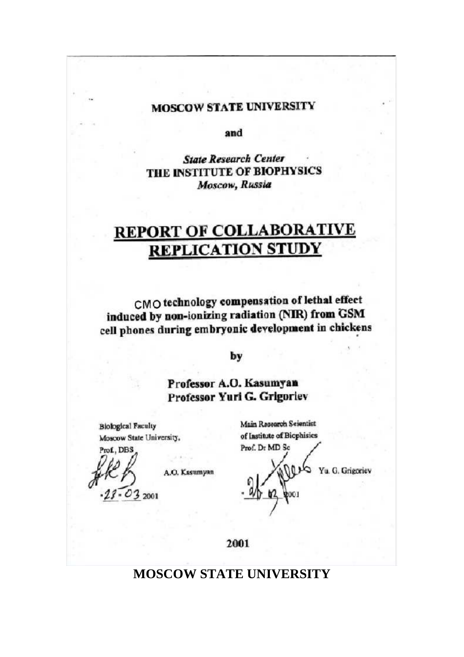### **MOSCOW STATE UNIVERSITY**

and

**State Research Center** THE INSTITUTE OF BIOPHYSICS Moscow, Russia

# **REPORT OF COLLABORATIVE REPLICATION STUDY**

CMO technology compensation of lethal effect induced by non-ionizing radiation (NIR) from GSM cell phones during embryonic development in chickens

by

Professor A.O. Kasumyan Professor Yuri G. Grigoriev

**Biological Faculty** Moscow State University,

Prof., DBS  $032001$ 

A.O. Kasumyan

Main Research Seientist of Institute of Biophisics Prof. Dr MD Sc

Yu. G. Grigoriev

2001

### **MOSCOW STATE UNIVERSITY**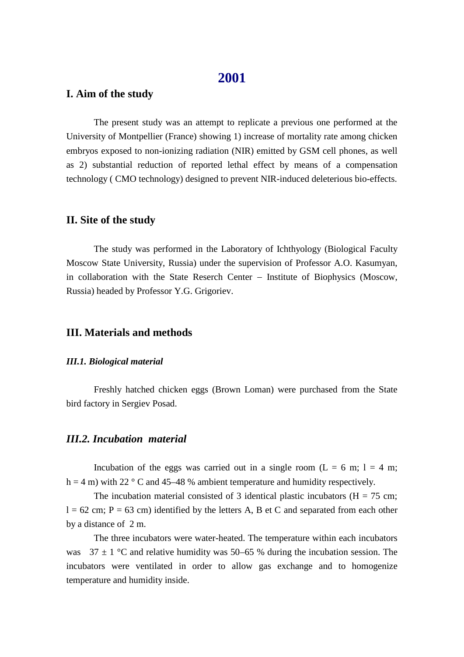### **2001**

#### **I. Aim of the study**

The present study was an attempt to replicate a previous one performed at the University of Montpellier (France) showing 1) increase of mortality rate among chicken embryos exposed to non-ionizing radiation (NIR) emitted by GSM cell phones, as well as 2) substantial reduction of reported lethal effect by means of a compensation technology ( CMO technology) designed to prevent NIR-induced deleterious bio-effects.

#### **II. Site of the study**

The study was performed in the Laboratory of Ichthyology (Biological Faculty Moscow State University, Russia) under the supervision of Professor A.O. Kasumyan, in collaboration with the State Reserch Center Institute of Biophysics (Moscow, Russia) headed by Professor Y.G. Grigoriev.

#### **III. Materials and methods**

#### *III.1. Biological material*

Freshly hatched chicken eggs (Brown Loman) were purchased from the State bird factory in Sergiev Posad.

#### *III.2. Incubation material*

Incubation of the eggs was carried out in a single room ( $L = 6$  m;  $l = 4$  m; h = 4 m) with 22  $\degree$  C and 45–48 % ambient temperature and humidity respectively.

The incubation material consisted of 3 identical plastic incubators ( $H = 75$  cm;  $l = 62$  cm; P = 63 cm) identified by the letters A, B et C and separated from each other by a distance of 2 m.

The three incubators were water-heated. The temperature within each incubators was  $37 \pm 1$  °C and relative humidity was 50–65 % during the incubation session. The incubators were ventilated in order to allow gas exchange and to homogenize temperature and humidity inside.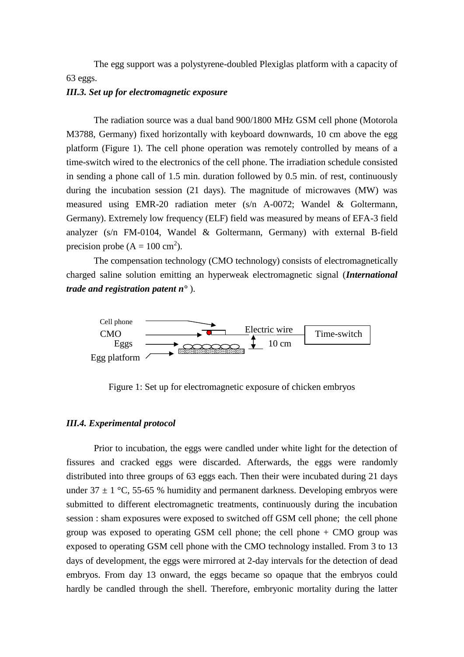The egg support was a polystyrene-doubled Plexiglas platform with a capacity of 63 eggs.

#### *III.3. Set up for electromagnetic exposure*

The radiation source was a dual band 900/1800 MHz GSM cell phone (Motorola M3788, Germany) fixed horizontally with keyboard downwards, 10 cm above the egg platform (Figure 1). The cell phone operation was remotely controlled by means of a time-switch wired to the electronics of the cell phone. The irradiation schedule consisted in sending a phone call of 1.5 min. duration followed by 0.5 min. of rest, continuously during the incubation session (21 days). The magnitude of microwaves (MW) was measured using EMR-20 radiation meter (s/n A-0072; Wandel & Goltermann, Germany). Extremely low frequency (ELF) field was measured by means of EFA-3 field analyzer (s/n FM-0104, Wandel & Goltermann, Germany) with external B-field precision probe  $(A = 100 \text{ cm}^2)$ .

The compensation technology (CMO technology) consists of electromagnetically charged saline solution emitting an hyperweak electromagnetic signal (*International trade and registration patent n°* ).



Figure 1: Set up for electromagnetic exposure of chicken embryos

#### *III.4. Experimental protocol*

Prior to incubation, the eggs were candled under white light for the detection of fissures and cracked eggs were discarded. Afterwards, the eggs were randomly distributed into three groups of 63 eggs each. Then their were incubated during 21 days under  $37 \pm 1$  °C, 55-65 % humidity and permanent darkness. Developing embryos were submitted to different electromagnetic treatments, continuously during the incubation session : sham exposures were exposed to switched off GSM cell phone; the cell phone group was exposed to operating GSM cell phone; the cell phone  $+$  CMO group was exposed to operating GSM cell phone with the CMO technology installed. From 3 to 13 days of development, the eggs were mirrored at 2-day intervals for the detection of dead embryos. From day 13 onward, the eggs became so opaque that the embryos could hardly be candled through the shell. Therefore, embryonic mortality during the latter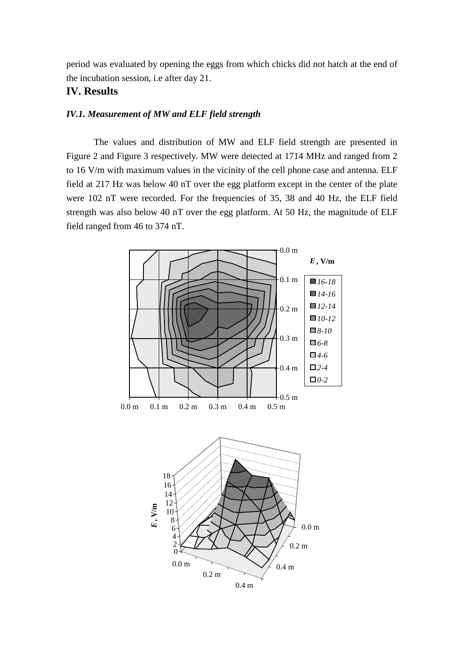period was evaluated by opening the eggs from which chicks did not hatch at the end of the incubation session, i.e after day 21.

#### **IV. Results**

#### *IV.1. Measurement of MW and ELF field strength*

The values and distribution of MW and ELF field strength are presented in Figure 2 and Figure 3 respectively. MW were detected at 1714 MHz and ranged from 2 to 16 V/m with maximum values in the vicinity of the cell phone case and antenna. ELF field at 217 Hz was below 40 nT over the egg platform except in the center of the plate were 102 nT were recorded. For the frequencies of 35, 38 and 40 Hz, the ELF field strength was also below 40 nT over the egg platform. At 50 Hz, the magnitude of ELF field ranged from 46 to 374 nT.

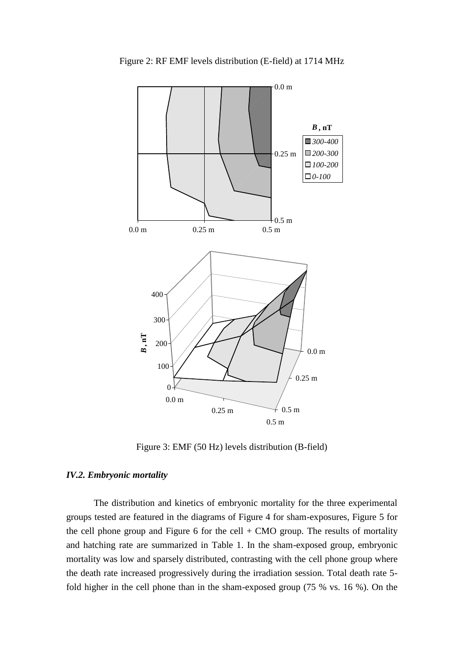

Figure 2: RF EMF levels distribution (E-field) at 1714 MHz

Figure 3: EMF (50 Hz) levels distribution (B-field)

#### *IV.2. Embryonic mortality*

The distribution and kinetics of embryonic mortality for the three experimental groups tested are featured in the diagrams of Figure 4 for sham-exposures, Figure 5 for the cell phone group and Figure 6 for the cell  $+$  CMO group. The results of mortality and hatching rate are summarized in Table 1. In the sham-exposed group, embryonic mortality was low and sparsely distributed, contrasting with the cell phone group where the death rate increased progressively during the irradiation session. Total death rate 5 fold higher in the cell phone than in the sham-exposed group (75 % vs. 16 %). On the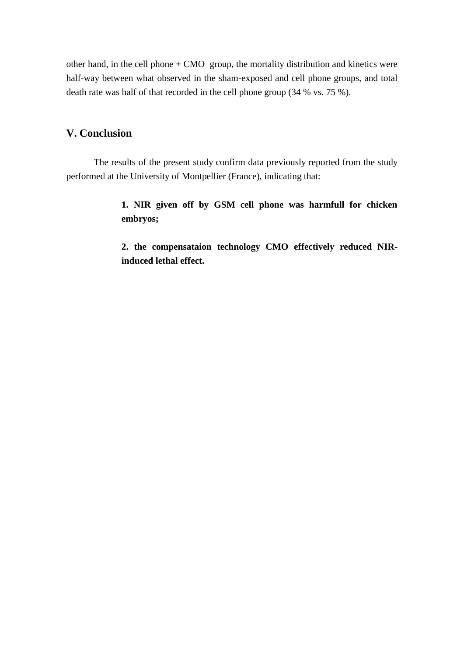other hand, in the cell phone  $+$  CMO group, the mortality distribution and kinetics were half-way between what observed in the sham-exposed and cell phone groups, and total death rate was half of that recorded in the cell phone group (34 % vs. 75 %).

### **V. Conclusion**

The results of the present study confirm data previously reported from the study performed at the University of Montpellier (France), indicating that:

> **1. NIR given off by GSM cell phone was harmfull for chicken embryos;**

> **2. the compensataion technology CMO effectively reduced NIRinduced lethal effect.**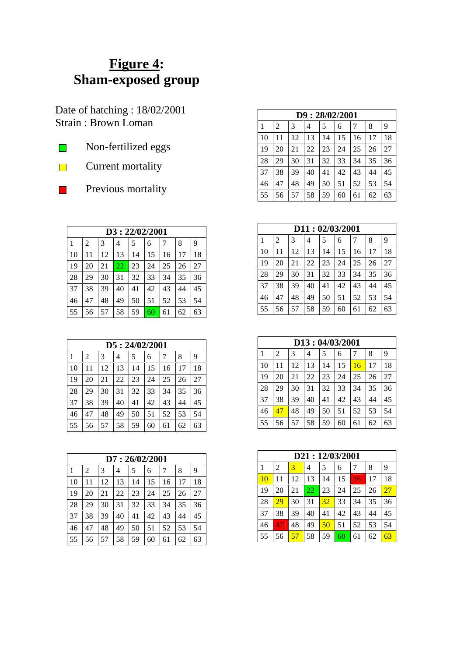## **Figure 4: Sham-exposed group**

Date of hatching : 18/02/2001 Strain : Brown Loman

- Non-fertilized eggs  $\mathbf{L}$
- Current mortality  $\overline{\phantom{0}}$



|              | D3: 22/02/2001 |    |    |    |    |    |    |    |  |  |  |
|--------------|----------------|----|----|----|----|----|----|----|--|--|--|
| $\mathbf{1}$ | 2              | 3  | 4  | 5  | 6  | 7  | 8  | 9  |  |  |  |
| 10           | 11             | 12 | 13 | 14 | 15 | 16 | 17 | 18 |  |  |  |
| 19           | 20             | 21 | 22 | 23 | 24 | 25 | 26 | 27 |  |  |  |
| 28           | 29             | 30 | 31 | 32 | 33 | 34 | 35 | 36 |  |  |  |
| 37           | 38             | 39 | 40 | 41 | 42 | 43 | 44 | 45 |  |  |  |
| 46           | 47             | 48 | 49 | 50 | 51 | 52 | 53 | 54 |  |  |  |
| 55           | 56             | 57 | 58 | 59 | 60 | 61 | 62 | 63 |  |  |  |

|    | D5:24/02/2001 |    |    |    |    |    |    |    |  |  |
|----|---------------|----|----|----|----|----|----|----|--|--|
| 1  | 2             | 3  | 4  | 5  | 6  | 7  | 8  | 9  |  |  |
| 10 | 11            | 12 | 13 | 14 | 15 | 16 | 17 | 18 |  |  |
| 19 | 20            | 21 | 22 | 23 | 24 | 25 | 26 | 27 |  |  |
| 28 | 29            | 30 | 31 | 32 | 33 | 34 | 35 | 36 |  |  |
| 37 | 38            | 39 | 40 | 41 | 42 | 43 | 44 | 45 |  |  |
| 46 | 47            | 48 | 49 | 50 | 51 | 52 | 53 | 54 |  |  |
| 55 | 56            | 57 | 58 | 59 | 60 | 61 | 62 | 63 |  |  |

| D7:26/02/2001 |    |    |    |    |    |    |    |    |  |
|---------------|----|----|----|----|----|----|----|----|--|
| 1             | 2  | 3  | 4  | 5  | 6  |    | 8  | 9  |  |
| 10            | 11 | 12 | 13 | 14 | 15 | 16 | 17 | 18 |  |
| 19            | 20 | 21 | 22 | 23 | 24 | 25 | 26 | 27 |  |
| 28            | 29 | 30 | 31 | 32 | 33 | 34 | 35 | 36 |  |
| 37            | 38 | 39 | 40 | 41 | 42 | 43 | 44 | 45 |  |
| 46            | 47 | 48 | 49 | 50 | 51 | 52 | 53 | 54 |  |
| 55            | 56 | 57 | 58 | 59 | 60 | 61 | 62 | 63 |  |

|    | D9:28/02/2001 |    |    |    |    |    |    |    |  |  |  |
|----|---------------|----|----|----|----|----|----|----|--|--|--|
| 1  | 2             | 3  | 4  | 5  | 6  |    | 8  | 9  |  |  |  |
| 10 | 11            | 12 | 13 | 14 | 15 | 16 | 17 | 18 |  |  |  |
| 19 | 20            | 21 | 22 | 23 | 24 | 25 | 26 | 27 |  |  |  |
| 28 | 29            | 30 | 31 | 32 | 33 | 34 | 35 | 36 |  |  |  |
| 37 | 38            | 39 | 40 | 41 | 42 | 43 | 44 | 45 |  |  |  |
| 46 | 47            | 48 | 49 | 50 | 51 | 52 | 53 | 54 |  |  |  |
| 55 | 56            | 57 | 58 | 59 | 60 | 61 | 62 | 63 |  |  |  |

|    | D11: 02/03/2001 |    |    |    |    |    |    |    |  |  |  |
|----|-----------------|----|----|----|----|----|----|----|--|--|--|
| 1  | 2               | 3  | 4  | 5  | 6  | 7  | 8  | 9  |  |  |  |
| 10 | 11              | 12 | 13 | 14 | 15 | 16 | 17 | 18 |  |  |  |
| 19 | 20              | 21 | 22 | 23 | 24 | 25 | 26 | 27 |  |  |  |
| 28 | 29              | 30 | 31 | 32 | 33 | 34 | 35 | 36 |  |  |  |
| 37 | 38              | 39 | 40 | 41 | 42 | 43 | 44 | 45 |  |  |  |
| 46 | 47              | 48 | 49 | 50 | 51 | 52 | 53 | 54 |  |  |  |
| 55 | 56              | 57 | 58 | 59 | 60 | 61 | 62 | 63 |  |  |  |

| D13:04/03/2001 |    |    |    |    |    |    |    |    |  |
|----------------|----|----|----|----|----|----|----|----|--|
| 1              | 2  | 3  | 4  | 5  | 6  | 7  | 8  | 9  |  |
| 10             | 11 | 12 | 13 | 14 | 15 | 16 | 17 | 18 |  |
| 19             | 20 | 21 | 22 | 23 | 24 | 25 | 26 | 27 |  |
| 28             | 29 | 30 | 31 | 32 | 33 | 34 | 35 | 36 |  |
| 37             | 38 | 39 | 40 | 41 | 42 | 43 | 44 | 45 |  |
| 46             | 47 | 48 | 49 | 50 | 51 | 52 | 53 | 54 |  |
| 55             | 56 | 57 | 58 | 59 | 60 | 61 | 62 | 63 |  |

|    | D21:12/03/2001 |    |    |    |    |    |    |    |  |  |  |
|----|----------------|----|----|----|----|----|----|----|--|--|--|
|    | 2              | 3  | 4  | 5  | 6  |    | 8  | 9  |  |  |  |
| 10 | 11             | 12 | 13 | 14 | 15 | 16 | 17 | 18 |  |  |  |
| 19 | 20             | 21 | 22 | 23 | 24 | 25 | 26 | 27 |  |  |  |
| 28 | 29             | 30 | 31 | 32 | 33 | 34 | 35 | 36 |  |  |  |
| 37 | 38             | 39 | 40 | 41 | 42 | 43 | 44 | 45 |  |  |  |
| 46 | 47             | 48 | 49 | 50 | 51 | 52 | 53 | 54 |  |  |  |
| 55 | 56             | 57 | 58 | 59 | 60 | 61 | 62 | 63 |  |  |  |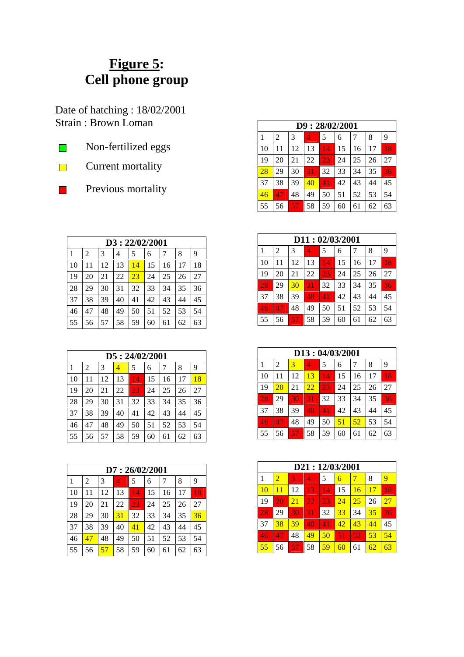## **Figure 5: Cell phone group**

Date of hatching : 18/02/2001 Strain : Brown Loman

- Non-fertilized eggs  $\mathbf{L}$
- Current mortality  $\overline{\phantom{0}}$



| D9:28/02/2001 |    |    |    |    |    |    |    |    |  |
|---------------|----|----|----|----|----|----|----|----|--|
| 1             | 2  | 3  | 4  | 5  | 6  | 7  | 8  | 9  |  |
| 10            | 11 | 12 | 13 | 14 | 15 | 16 | 17 | 18 |  |
| 19            | 20 | 21 | 22 | 23 | 24 | 25 | 26 | 27 |  |
| 28            | 29 | 30 | 31 | 32 | 33 | 34 | 35 | 36 |  |
| 37            | 38 | 39 | 40 | 41 | 42 | 43 | 44 | 45 |  |
| 46            | 47 | 48 | 49 | 50 | 51 | 52 | 53 | 54 |  |
| 55            | 56 | 57 | 58 | 59 | 60 | 61 | 62 | 63 |  |

|    | D11:02/03/2001 |    |    |    |    |    |    |    |  |  |  |
|----|----------------|----|----|----|----|----|----|----|--|--|--|
|    | 2              | 3  | 4  | 5  | 6  | 7  | 8  | 9  |  |  |  |
| 10 | 11             | 12 | 13 | 14 | 15 | 16 | 17 | 18 |  |  |  |
| 19 | 20             | 21 | 22 | 23 | 24 | 25 | 26 | 27 |  |  |  |
| 28 | 29             | 30 | 31 | 32 | 33 | 34 | 35 | 36 |  |  |  |
| 37 | 38             | 39 | 40 | 41 | 42 | 43 | 44 | 45 |  |  |  |
| 46 | 47             | 48 | 49 | 50 | 51 | 52 | 53 | 54 |  |  |  |
| 55 | 56             | 57 | 58 | 59 | 60 | 61 | 62 | 63 |  |  |  |

|    | D13: 04/03/2001 |    |    |                 |    |    |    |    |  |  |  |
|----|-----------------|----|----|-----------------|----|----|----|----|--|--|--|
| 1  | 2               | 3  | 4  | 5               | 6  |    | 8  | 9  |  |  |  |
| 10 | 11              | 12 | 13 | $1\overline{4}$ | 15 | 16 | 17 | 18 |  |  |  |
| 19 | 20              | 21 | 22 | 23              | 24 | 25 | 26 | 27 |  |  |  |
| 28 | 29              | 30 | 31 | 32              | 33 | 34 | 35 | 36 |  |  |  |
| 37 | 38              | 39 | 40 | 41              | 42 | 43 | 44 | 45 |  |  |  |
| 46 | 47              | 48 | 49 | 50              | 51 | 52 | 53 | 54 |  |  |  |
| 55 | 56              | 57 | 58 | 59              | 60 | 61 | 62 | 63 |  |  |  |

|    | D21:12/03/2001 |    |    |    |    |    |    |    |  |  |  |
|----|----------------|----|----|----|----|----|----|----|--|--|--|
|    | $\overline{2}$ | 3  | 4  | 5  | 6  |    | 8  | 9  |  |  |  |
| 10 | 11             | 12 | 13 | 14 | 15 | 16 | 17 | 18 |  |  |  |
| 19 | 20             | 21 | 22 | 23 | 24 | 25 | 26 | 27 |  |  |  |
| 28 | 29             | 30 | 31 | 32 | 33 | 34 | 35 | 36 |  |  |  |
| 37 | 38             | 39 | 40 | 41 | 42 | 43 | 44 | 45 |  |  |  |
| 46 | 47             | 48 | 49 | 50 | 51 | 52 | 53 | 54 |  |  |  |
| 55 | 56             | 57 | 58 | 59 | 60 | 61 | 62 | 63 |  |  |  |

|    | D3: 22/02/2001 |    |    |    |    |    |    |    |  |  |  |
|----|----------------|----|----|----|----|----|----|----|--|--|--|
| 1  | 2              | 3  | 4  | 5  | 6  |    | 8  | 9  |  |  |  |
| 10 | 11             | 12 | 13 | 14 | 15 | 16 | 17 | 18 |  |  |  |
| 19 | 20             | 21 | 22 | 23 | 24 | 25 | 26 | 27 |  |  |  |
| 28 | 29             | 30 | 31 | 32 | 33 | 34 | 35 | 36 |  |  |  |
| 37 | 38             | 39 | 40 | 41 | 42 | 43 | 44 | 45 |  |  |  |
| 46 | 47             | 48 | 49 | 50 | 51 | 52 | 53 | 54 |  |  |  |
| 55 | 56             | 57 | 58 | 59 | 60 | 61 | 62 | 63 |  |  |  |

|    | D5: 24/02/2001 |    |    |    |    |    |    |    |  |  |  |  |  |
|----|----------------|----|----|----|----|----|----|----|--|--|--|--|--|
|    | 2              | 3  | 4  | 5  | 6  | 7  | 8  | 9  |  |  |  |  |  |
| 10 | 11             | 12 | 13 | 14 | 15 | 16 | 17 | 18 |  |  |  |  |  |
| 19 | 20             | 21 | 22 | 23 | 24 | 25 | 26 | 27 |  |  |  |  |  |
| 28 | 29             | 30 | 31 | 32 | 33 | 34 | 35 | 36 |  |  |  |  |  |
| 37 | 38             | 39 | 40 | 41 | 42 | 43 | 44 | 45 |  |  |  |  |  |
| 46 | 47             | 48 | 49 | 50 | 51 | 52 | 53 | 54 |  |  |  |  |  |
| 55 | 56             | 57 | 58 | 59 | 60 | 61 | 62 | 63 |  |  |  |  |  |

|    | D7:26/02/2001 |    |    |    |    |    |    |    |  |  |  |  |  |
|----|---------------|----|----|----|----|----|----|----|--|--|--|--|--|
| 1  | 2             | 3  | 4  | 5  | 6  |    | 8  | 9  |  |  |  |  |  |
| 10 | 11            | 12 | 13 | 14 | 15 | 16 | 17 | 18 |  |  |  |  |  |
| 19 | 20            | 21 | 22 | 23 | 24 | 25 | 26 | 27 |  |  |  |  |  |
| 28 | 29            | 30 | 31 | 32 | 33 | 34 | 35 | 36 |  |  |  |  |  |
| 37 | 38            | 39 | 40 | 41 | 42 | 43 | 44 | 45 |  |  |  |  |  |
| 46 | 47            | 48 | 49 | 50 | 51 | 52 | 53 | 54 |  |  |  |  |  |
| 55 | 56            | 57 | 58 | 59 | 60 | 61 | 62 | 63 |  |  |  |  |  |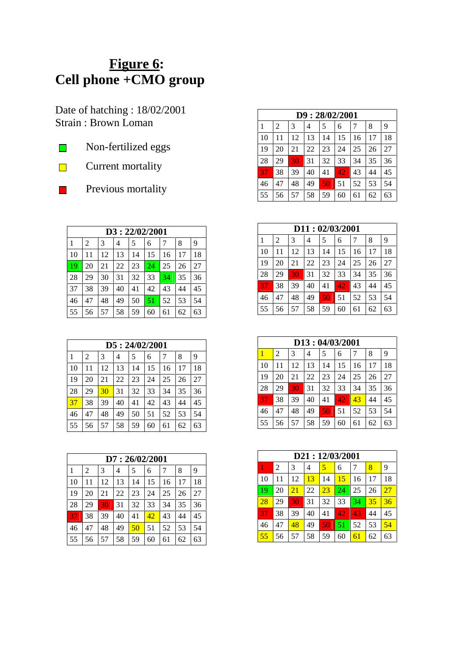## **Figure 6: Cell phone +CMO group**

Date of hatching : 18/02/2001 Strain : Brown Loman

- Non-fertilized eggs  $\mathbf{L}$
- Current mortality  $\overline{\phantom{0}}$



|    | D3: 22/02/2001 |    |    |    |    |    |    |    |  |  |  |  |  |
|----|----------------|----|----|----|----|----|----|----|--|--|--|--|--|
| 1  | 2              | 3  | 4  | 5  |    | 7  | 8  | 9  |  |  |  |  |  |
| 10 | 11             | 12 | 13 | 14 | 15 | 16 | 17 | 18 |  |  |  |  |  |
| 19 | 20             | 21 | 22 | 23 | 24 | 25 | 26 | 27 |  |  |  |  |  |
| 28 | 29             | 30 | 31 | 32 | 33 | 34 | 35 | 36 |  |  |  |  |  |
| 37 | 38             | 39 | 40 | 41 | 42 | 43 | 44 | 45 |  |  |  |  |  |
| 46 | 47             | 48 | 49 | 50 | 51 | 52 | 53 | 54 |  |  |  |  |  |
| 55 | 56             | 57 | 58 | 59 | 60 | 61 | 62 | 63 |  |  |  |  |  |

|    | D5: 24/02/2001 |    |    |    |    |    |    |    |  |  |  |  |  |
|----|----------------|----|----|----|----|----|----|----|--|--|--|--|--|
| 1  | 2              | 3  | 4  | 5  | 6  |    | 8  | 9  |  |  |  |  |  |
| 10 | 11             | 12 | 13 | 14 | 15 | 16 | 17 | 18 |  |  |  |  |  |
| 19 | 20             | 21 | 22 | 23 | 24 | 25 | 26 | 27 |  |  |  |  |  |
| 28 | 29             | 30 | 31 | 32 | 33 | 34 | 35 | 36 |  |  |  |  |  |
| 37 | 38             | 39 | 40 | 41 | 42 | 43 | 44 | 45 |  |  |  |  |  |
| 46 | 47             | 48 | 49 | 50 | 51 | 52 | 53 | 54 |  |  |  |  |  |
| 55 | 56             | 57 | 58 | 59 | 60 | 61 | 62 | 63 |  |  |  |  |  |

| D7:26/02/2001 |    |    |    |    |    |    |    |    |  |  |  |  |
|---------------|----|----|----|----|----|----|----|----|--|--|--|--|
| 1             | 2  | 3  | 4  | 5  | 6  |    | 8  | 9  |  |  |  |  |
| 10            | 11 | 12 | 13 | 14 | 15 | 16 | 17 | 18 |  |  |  |  |
| 19            | 20 | 21 | 22 | 23 | 24 | 25 | 26 | 27 |  |  |  |  |
| 28            | 29 | 30 | 31 | 32 | 33 | 34 | 35 | 36 |  |  |  |  |
| 37            | 38 | 39 | 40 | 41 | 42 | 43 | 44 | 45 |  |  |  |  |
| 46            | 47 | 48 | 49 | 50 | 51 | 52 | 53 | 54 |  |  |  |  |
| 55            | 56 | 57 | 58 | 59 | 60 | 61 | 62 | 63 |  |  |  |  |

|    | D9:28/02/2001 |    |    |    |    |    |    |    |  |  |  |  |  |
|----|---------------|----|----|----|----|----|----|----|--|--|--|--|--|
| 1  | 2             | 3  | 4  | 5  | 6  |    | 8  | 9  |  |  |  |  |  |
| 10 | 11            | 12 | 13 | 14 | 15 | 16 | 17 | 18 |  |  |  |  |  |
| 19 | 20            | 21 | 22 | 23 | 24 | 25 | 26 | 27 |  |  |  |  |  |
| 28 | 29            | 30 | 31 | 32 | 33 | 34 | 35 | 36 |  |  |  |  |  |
| 37 | 38            | 39 | 40 | 41 | 42 | 43 | 44 | 45 |  |  |  |  |  |
| 46 | 47            | 48 | 49 | 50 | 51 | 52 | 53 | 54 |  |  |  |  |  |
| 55 | 56            | 57 | 58 | 59 | 60 | 61 | 62 | 63 |  |  |  |  |  |

|    | D11: 02/03/2001 |    |    |    |    |    |    |    |  |  |  |  |  |
|----|-----------------|----|----|----|----|----|----|----|--|--|--|--|--|
| 1  | 2               | 3  | 4  | 5  | 6  |    | 8  | 9  |  |  |  |  |  |
| 10 | 11              | 12 | 13 | 14 | 15 | 16 | 17 | 18 |  |  |  |  |  |
| 19 | 20              | 21 | 22 | 23 | 24 | 25 | 26 | 27 |  |  |  |  |  |
| 28 | 29              | 30 | 31 | 32 | 33 | 34 | 35 | 36 |  |  |  |  |  |
| 37 | 38              | 39 | 40 | 41 | 42 | 43 | 44 | 45 |  |  |  |  |  |
| 46 | 47              | 48 | 49 | 50 | 51 | 52 | 53 | 54 |  |  |  |  |  |
| 55 | 56              | 57 | 58 | 59 | 60 | 61 | 62 | 63 |  |  |  |  |  |

|           | D13:04/03/2001 |    |    |    |     |    |    |    |  |  |  |  |  |
|-----------|----------------|----|----|----|-----|----|----|----|--|--|--|--|--|
| 1         | 2              | 3  | 4  | 5  | 6   | 7  | 8  | 9  |  |  |  |  |  |
| 10        | 11             | 12 | 13 | 14 | 15  | 16 | 17 | 18 |  |  |  |  |  |
| 19        | 20             | 21 | 22 | 23 | 24  | 25 | 26 | 27 |  |  |  |  |  |
| 28        | 29             | 30 | 31 | 32 | 33  | 34 | 35 | 36 |  |  |  |  |  |
| <u>37</u> | 38             | 39 | 40 | 41 | 42. | 43 | 44 | 45 |  |  |  |  |  |
| 46        | 47             | 48 | 49 | 50 | 51  | 52 | 53 | 54 |  |  |  |  |  |
| 55        | 56             | 57 | 58 | 59 | 60  | 61 | 62 | 63 |  |  |  |  |  |

|     | D21:12/03/2001 |    |    |        |    |    |    |    |  |  |  |  |  |
|-----|----------------|----|----|--------|----|----|----|----|--|--|--|--|--|
|     | 2              | 3  | 4  | 5<br>6 |    |    | 8  | 9  |  |  |  |  |  |
| 10  | 11             | 12 | 13 | 14     | 15 | 16 | 17 | 18 |  |  |  |  |  |
| -19 | 20             | 21 | 22 | 23     | 24 | 25 | 26 | 27 |  |  |  |  |  |
| 28  | 29             | 30 | 31 | 32     | 33 | 34 | 35 | 36 |  |  |  |  |  |
| 37  | 38             | 39 | 40 | 41     | 42 | 43 | 44 | 45 |  |  |  |  |  |
| 46  | 47             | 48 | 49 | 50     | 51 | 52 | 53 | 54 |  |  |  |  |  |
| 55  | 56             | 57 | 58 | 59     | 60 | 61 | 62 | 63 |  |  |  |  |  |